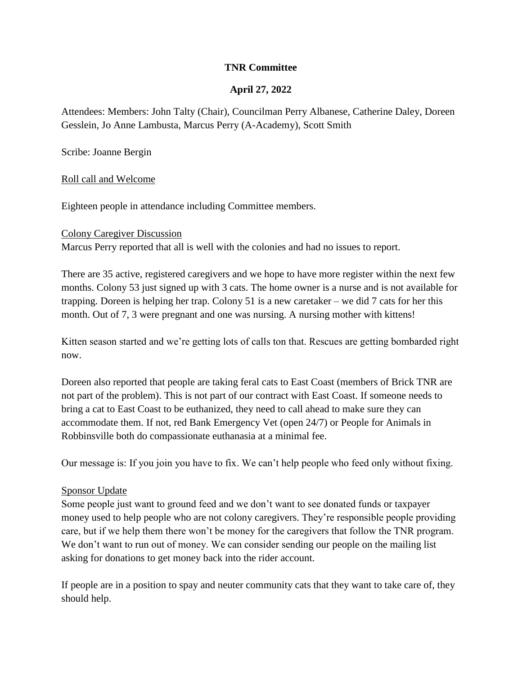### **TNR Committee**

## **April 27, 2022**

Attendees: Members: John Talty (Chair), Councilman Perry Albanese, Catherine Daley, Doreen Gesslein, Jo Anne Lambusta, Marcus Perry (A-Academy), Scott Smith

Scribe: Joanne Bergin

#### Roll call and Welcome

Eighteen people in attendance including Committee members.

#### Colony Caregiver Discussion

Marcus Perry reported that all is well with the colonies and had no issues to report.

There are 35 active, registered caregivers and we hope to have more register within the next few months. Colony 53 just signed up with 3 cats. The home owner is a nurse and is not available for trapping. Doreen is helping her trap. Colony 51 is a new caretaker – we did 7 cats for her this month. Out of 7, 3 were pregnant and one was nursing. A nursing mother with kittens!

Kitten season started and we're getting lots of calls ton that. Rescues are getting bombarded right now.

Doreen also reported that people are taking feral cats to East Coast (members of Brick TNR are not part of the problem). This is not part of our contract with East Coast. If someone needs to bring a cat to East Coast to be euthanized, they need to call ahead to make sure they can accommodate them. If not, red Bank Emergency Vet (open 24/7) or People for Animals in Robbinsville both do compassionate euthanasia at a minimal fee.

Our message is: If you join you have to fix. We can't help people who feed only without fixing.

### Sponsor Update

Some people just want to ground feed and we don't want to see donated funds or taxpayer money used to help people who are not colony caregivers. They're responsible people providing care, but if we help them there won't be money for the caregivers that follow the TNR program. We don't want to run out of money. We can consider sending our people on the mailing list asking for donations to get money back into the rider account.

If people are in a position to spay and neuter community cats that they want to take care of, they should help.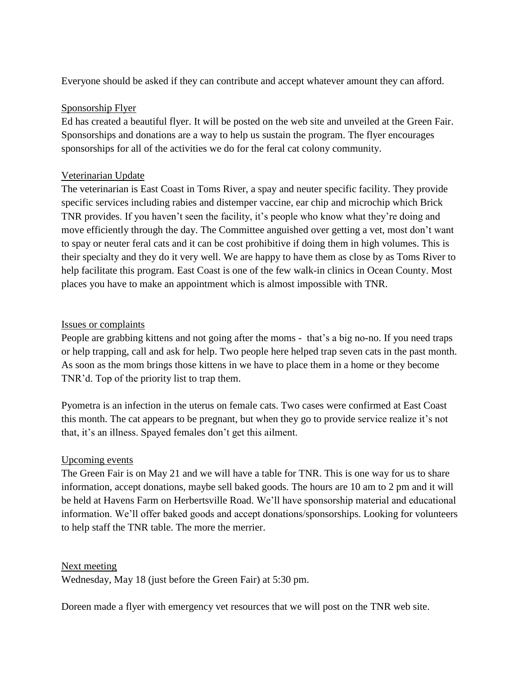Everyone should be asked if they can contribute and accept whatever amount they can afford.

## Sponsorship Flyer

Ed has created a beautiful flyer. It will be posted on the web site and unveiled at the Green Fair. Sponsorships and donations are a way to help us sustain the program. The flyer encourages sponsorships for all of the activities we do for the feral cat colony community.

## Veterinarian Update

The veterinarian is East Coast in Toms River, a spay and neuter specific facility. They provide specific services including rabies and distemper vaccine, ear chip and microchip which Brick TNR provides. If you haven't seen the facility, it's people who know what they're doing and move efficiently through the day. The Committee anguished over getting a vet, most don't want to spay or neuter feral cats and it can be cost prohibitive if doing them in high volumes. This is their specialty and they do it very well. We are happy to have them as close by as Toms River to help facilitate this program. East Coast is one of the few walk-in clinics in Ocean County. Most places you have to make an appointment which is almost impossible with TNR.

## Issues or complaints

People are grabbing kittens and not going after the moms - that's a big no-no. If you need traps or help trapping, call and ask for help. Two people here helped trap seven cats in the past month. As soon as the mom brings those kittens in we have to place them in a home or they become TNR'd. Top of the priority list to trap them.

Pyometra is an infection in the uterus on female cats. Two cases were confirmed at East Coast this month. The cat appears to be pregnant, but when they go to provide service realize it's not that, it's an illness. Spayed females don't get this ailment.

# Upcoming events

The Green Fair is on May 21 and we will have a table for TNR. This is one way for us to share information, accept donations, maybe sell baked goods. The hours are 10 am to 2 pm and it will be held at Havens Farm on Herbertsville Road. We'll have sponsorship material and educational information. We'll offer baked goods and accept donations/sponsorships. Looking for volunteers to help staff the TNR table. The more the merrier.

### Next meeting

Wednesday, May 18 (just before the Green Fair) at 5:30 pm.

Doreen made a flyer with emergency vet resources that we will post on the TNR web site.